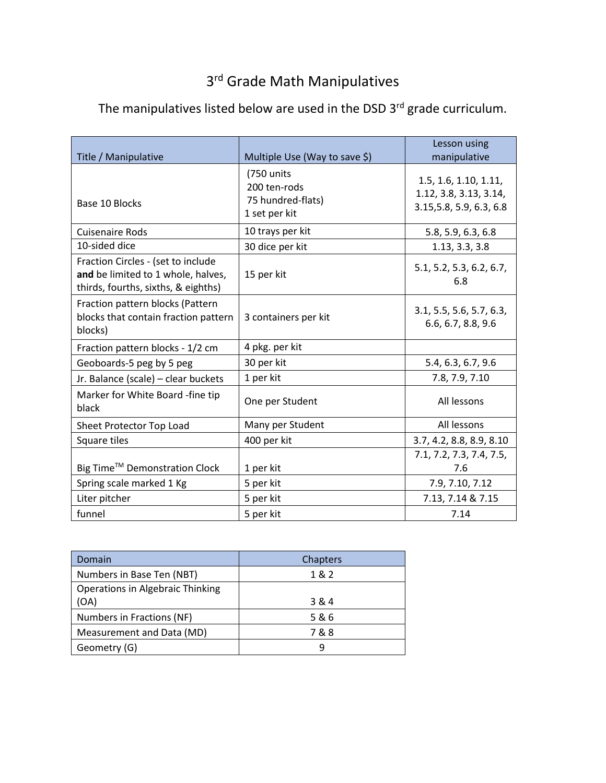## 3<sup>rd</sup> Grade Math Manipulatives

| Title / Manipulative                                                                                            | Multiple Use (Way to save \$)                                    | Lesson using<br>manipulative                                                |
|-----------------------------------------------------------------------------------------------------------------|------------------------------------------------------------------|-----------------------------------------------------------------------------|
| Base 10 Blocks                                                                                                  | (750 units<br>200 ten-rods<br>75 hundred-flats)<br>1 set per kit | 1.5, 1.6, 1.10, 1.11,<br>1.12, 3.8, 3.13, 3.14,<br>3.15, 5.8, 5.9, 6.3, 6.8 |
| <b>Cuisenaire Rods</b>                                                                                          | 10 trays per kit                                                 | 5.8, 5.9, 6.3, 6.8                                                          |
| 10-sided dice                                                                                                   | 30 dice per kit                                                  | 1.13, 3.3, 3.8                                                              |
| Fraction Circles - (set to include<br>and be limited to 1 whole, halves,<br>thirds, fourths, sixths, & eighths) | 15 per kit                                                       | 5.1, 5.2, 5.3, 6.2, 6.7,<br>6.8                                             |
| Fraction pattern blocks (Pattern<br>blocks that contain fraction pattern<br>blocks)                             | 3 containers per kit                                             | 3.1, 5.5, 5.6, 5.7, 6.3,<br>6.6, 6.7, 8.8, 9.6                              |
| Fraction pattern blocks - 1/2 cm                                                                                | 4 pkg. per kit                                                   |                                                                             |
| Geoboards-5 peg by 5 peg                                                                                        | 30 per kit                                                       | 5.4, 6.3, 6.7, 9.6                                                          |
| Jr. Balance (scale) - clear buckets                                                                             | 1 per kit                                                        | 7.8, 7.9, 7.10                                                              |
| Marker for White Board -fine tip<br>black                                                                       | One per Student                                                  | All lessons                                                                 |
| Sheet Protector Top Load                                                                                        | Many per Student                                                 | All lessons                                                                 |
| Square tiles                                                                                                    | 400 per kit                                                      | 3.7, 4.2, 8.8, 8.9, 8.10                                                    |
| Big Time™ Demonstration Clock<br>Spring scale marked 1 Kg                                                       | 1 per kit<br>5 per kit                                           | 7.1, 7.2, 7.3, 7.4, 7.5,<br>7.6<br>7.9, 7.10, 7.12                          |
| Liter pitcher                                                                                                   | 5 per kit                                                        | 7.13, 7.14 & 7.15                                                           |
| funnel                                                                                                          | 5 per kit                                                        | 7.14                                                                        |

## The manipulatives listed below are used in the DSD 3<sup>rd</sup> grade curriculum.

| Domain                                  | Chapters |
|-----------------------------------------|----------|
| Numbers in Base Ten (NBT)               | 1&2      |
| <b>Operations in Algebraic Thinking</b> |          |
| (OA)                                    | 3 & 4    |
| Numbers in Fractions (NF)               | 5&6      |
| Measurement and Data (MD)               | 7&8      |
| Geometry (G)                            | q        |